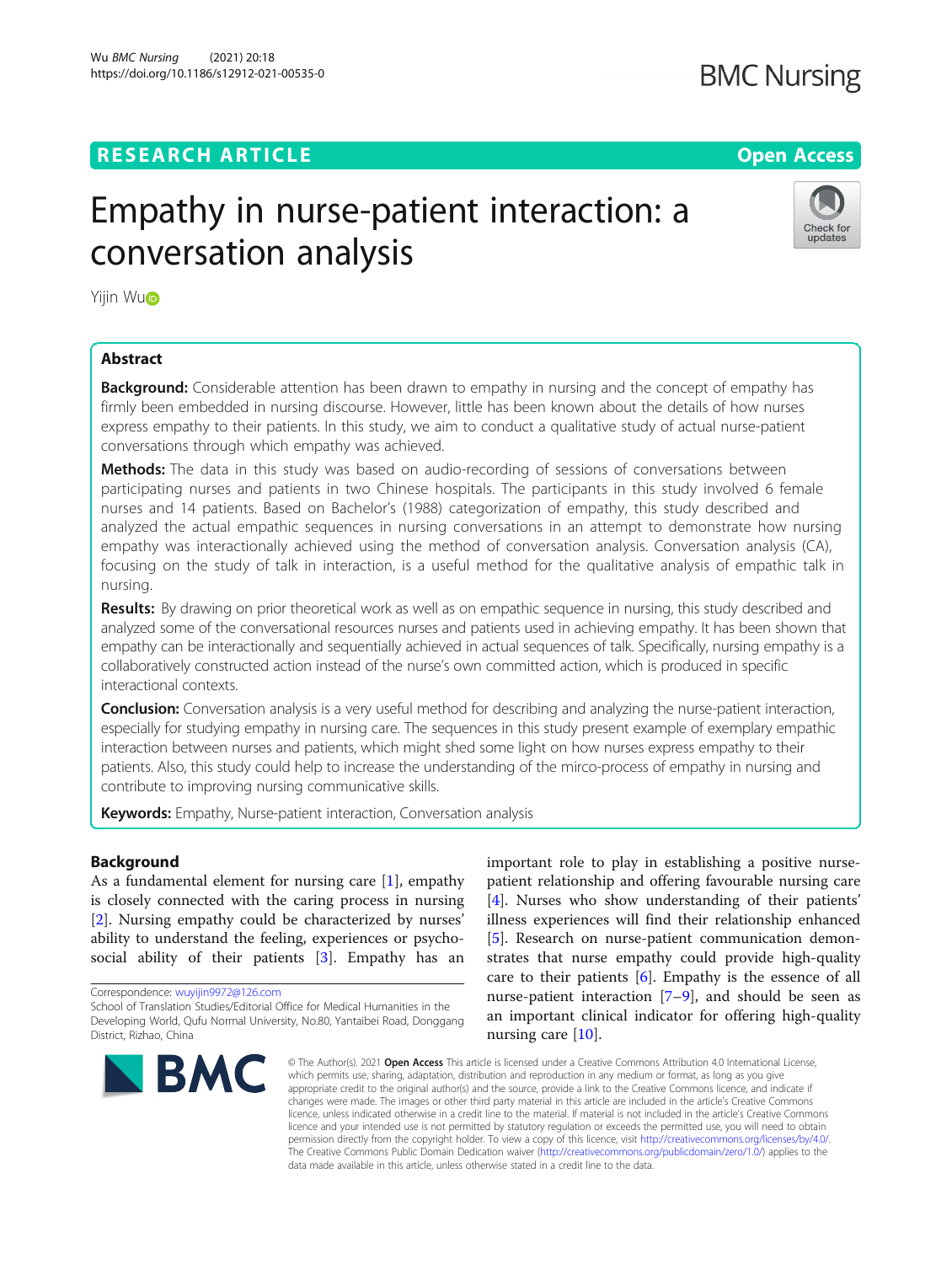# Wu *BMC Nursing (*2021) 20:18<br>https://doi.org/10.1186/s12912-021-00535-0

# **RESEARCH ARTICLE Example 2014 12:30 The Company of Company Access**

# **BMC Nursing**

# Empathy in nurse-patient interaction: a conversation analysis



Yijin W[u](http://orcid.org/0000-0002-2505-6575)<sub>D</sub>

# Abstract

**Background:** Considerable attention has been drawn to empathy in nursing and the concept of empathy has firmly been embedded in nursing discourse. However, little has been known about the details of how nurses express empathy to their patients. In this study, we aim to conduct a qualitative study of actual nurse-patient conversations through which empathy was achieved.

Methods: The data in this study was based on audio-recording of sessions of conversations between participating nurses and patients in two Chinese hospitals. The participants in this study involved 6 female nurses and 14 patients. Based on Bachelor's (1988) categorization of empathy, this study described and analyzed the actual empathic sequences in nursing conversations in an attempt to demonstrate how nursing empathy was interactionally achieved using the method of conversation analysis. Conversation analysis (CA), focusing on the study of talk in interaction, is a useful method for the qualitative analysis of empathic talk in nursing.

Results: By drawing on prior theoretical work as well as on empathic sequence in nursing, this study described and analyzed some of the conversational resources nurses and patients used in achieving empathy. It has been shown that empathy can be interactionally and sequentially achieved in actual sequences of talk. Specifically, nursing empathy is a collaboratively constructed action instead of the nurse's own committed action, which is produced in specific interactional contexts.

**Conclusion:** Conversation analysis is a very useful method for describing and analyzing the nurse-patient interaction, especially for studying empathy in nursing care. The sequences in this study present example of exemplary empathic interaction between nurses and patients, which might shed some light on how nurses express empathy to their patients. Also, this study could help to increase the understanding of the mirco-process of empathy in nursing and contribute to improving nursing communicative skills.

**Keywords:** Empathy, Nurse-patient interaction, Conversation analysis

# Background

As a fundamental element for nursing care [[1\]](#page-5-0), empathy is closely connected with the caring process in nursing [[2\]](#page-5-0). Nursing empathy could be characterized by nurses' ability to understand the feeling, experiences or psycho-social ability of their patients [\[3](#page-5-0)]. Empathy has an

Correspondence: [wuyijin9972@126.com](mailto:wuyijin9972@126.com)

School of Translation Studies/Editorial Office for Medical Humanities in the Developing World, Qufu Normal University, No.80, Yantaibei Road, Donggang District, Rizhao, China



important role to play in establishing a positive nursepatient relationship and offering favourable nursing care [[4\]](#page-5-0). Nurses who show understanding of their patients' illness experiences will find their relationship enhanced [[5\]](#page-5-0). Research on nurse-patient communication demonstrates that nurse empathy could provide high-quality care to their patients [[6](#page-5-0)]. Empathy is the essence of all nurse-patient interaction  $[7-9]$  $[7-9]$  $[7-9]$ , and should be seen as an important clinical indicator for offering high-quality nursing care [[10](#page-5-0)].

© The Author(s). 2021 Open Access This article is licensed under a Creative Commons Attribution 4.0 International License, which permits use, sharing, adaptation, distribution and reproduction in any medium or format, as long as you give appropriate credit to the original author(s) and the source, provide a link to the Creative Commons licence, and indicate if changes were made. The images or other third party material in this article are included in the article's Creative Commons licence, unless indicated otherwise in a credit line to the material. If material is not included in the article's Creative Commons licence and your intended use is not permitted by statutory regulation or exceeds the permitted use, you will need to obtain permission directly from the copyright holder. To view a copy of this licence, visit [http://creativecommons.org/licenses/by/4.0/.](http://creativecommons.org/licenses/by/4.0/) The Creative Commons Public Domain Dedication waiver [\(http://creativecommons.org/publicdomain/zero/1.0/](http://creativecommons.org/publicdomain/zero/1.0/)) applies to the data made available in this article, unless otherwise stated in a credit line to the data.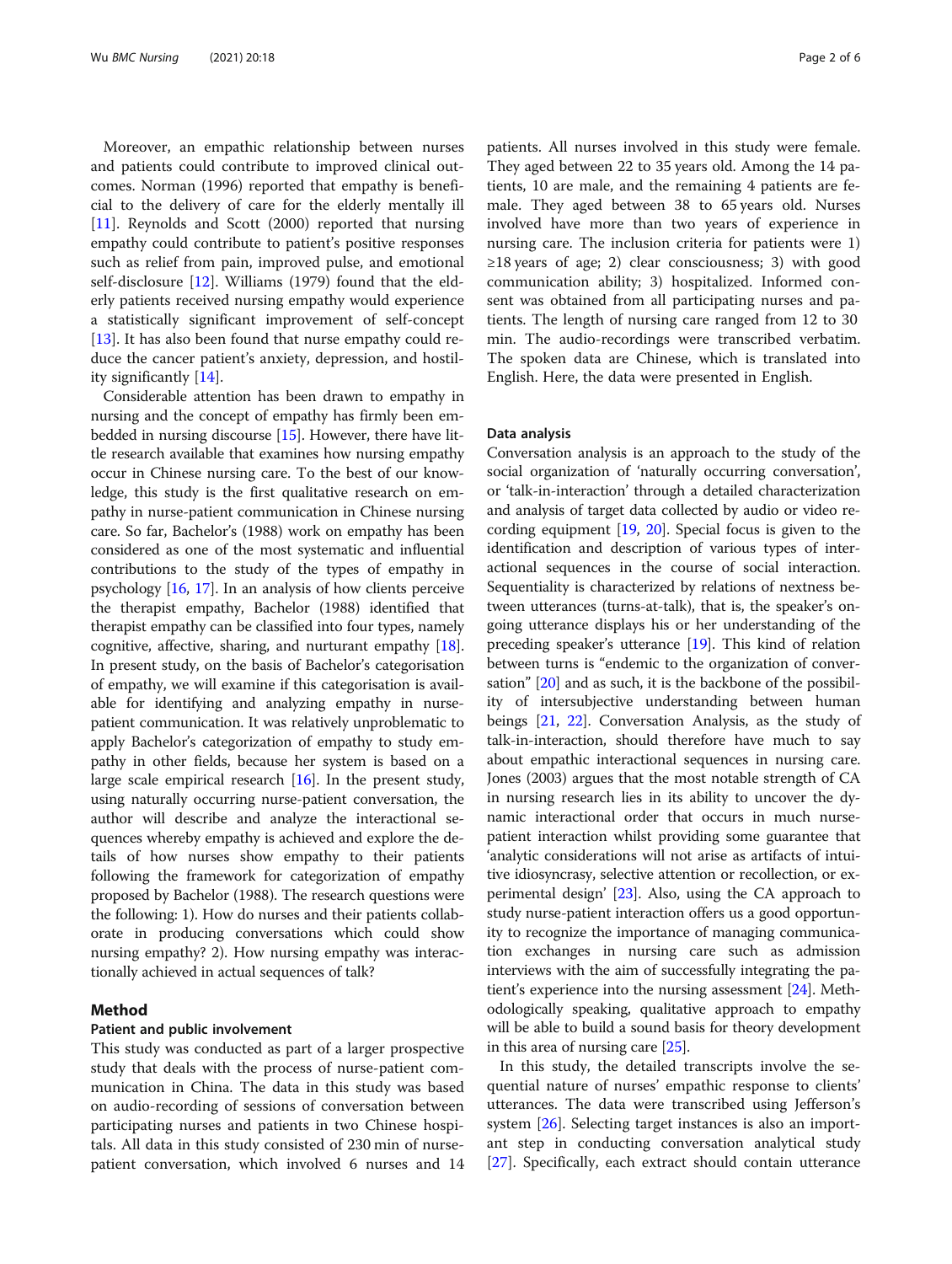Moreover, an empathic relationship between nurses and patients could contribute to improved clinical outcomes. Norman (1996) reported that empathy is beneficial to the delivery of care for the elderly mentally ill [[11\]](#page-5-0). Reynolds and Scott (2000) reported that nursing empathy could contribute to patient's positive responses such as relief from pain, improved pulse, and emotional self-disclosure [[12](#page-5-0)]. Williams (1979) found that the elderly patients received nursing empathy would experience a statistically significant improvement of self-concept [[13\]](#page-5-0). It has also been found that nurse empathy could reduce the cancer patient's anxiety, depression, and hostility significantly [[14](#page-5-0)].

Considerable attention has been drawn to empathy in nursing and the concept of empathy has firmly been embedded in nursing discourse [[15](#page-5-0)]. However, there have little research available that examines how nursing empathy occur in Chinese nursing care. To the best of our knowledge, this study is the first qualitative research on empathy in nurse-patient communication in Chinese nursing care. So far, Bachelor's (1988) work on empathy has been considered as one of the most systematic and influential contributions to the study of the types of empathy in psychology [\[16,](#page-5-0) [17](#page-5-0)]. In an analysis of how clients perceive the therapist empathy, Bachelor (1988) identified that therapist empathy can be classified into four types, namely cognitive, affective, sharing, and nurturant empathy [[18](#page-5-0)]. In present study, on the basis of Bachelor's categorisation of empathy, we will examine if this categorisation is available for identifying and analyzing empathy in nursepatient communication. It was relatively unproblematic to apply Bachelor's categorization of empathy to study empathy in other fields, because her system is based on a large scale empirical research [\[16\]](#page-5-0). In the present study, using naturally occurring nurse-patient conversation, the author will describe and analyze the interactional sequences whereby empathy is achieved and explore the details of how nurses show empathy to their patients following the framework for categorization of empathy proposed by Bachelor (1988). The research questions were the following: 1). How do nurses and their patients collaborate in producing conversations which could show nursing empathy? 2). How nursing empathy was interactionally achieved in actual sequences of talk?

# Method

# Patient and public involvement

This study was conducted as part of a larger prospective study that deals with the process of nurse-patient communication in China. The data in this study was based on audio-recording of sessions of conversation between participating nurses and patients in two Chinese hospitals. All data in this study consisted of 230 min of nursepatient conversation, which involved 6 nurses and 14 patients. All nurses involved in this study were female. They aged between 22 to 35 years old. Among the 14 patients, 10 are male, and the remaining 4 patients are female. They aged between 38 to 65 years old. Nurses involved have more than two years of experience in nursing care. The inclusion criteria for patients were 1)  $\geq$ 18 years of age; 2) clear consciousness; 3) with good communication ability; 3) hospitalized. Informed consent was obtained from all participating nurses and patients. The length of nursing care ranged from 12 to 30 min. The audio-recordings were transcribed verbatim. The spoken data are Chinese, which is translated into English. Here, the data were presented in English.

# Data analysis

Conversation analysis is an approach to the study of the social organization of 'naturally occurring conversation', or 'talk-in-interaction' through a detailed characterization and analysis of target data collected by audio or video recording equipment [[19](#page-5-0), [20\]](#page-5-0). Special focus is given to the identification and description of various types of interactional sequences in the course of social interaction. Sequentiality is characterized by relations of nextness between utterances (turns-at-talk), that is, the speaker's ongoing utterance displays his or her understanding of the preceding speaker's utterance [[19](#page-5-0)]. This kind of relation between turns is "endemic to the organization of conversation" [\[20\]](#page-5-0) and as such, it is the backbone of the possibility of intersubjective understanding between human beings [\[21,](#page-5-0) [22\]](#page-5-0). Conversation Analysis, as the study of talk-in-interaction, should therefore have much to say about empathic interactional sequences in nursing care. Jones (2003) argues that the most notable strength of CA in nursing research lies in its ability to uncover the dynamic interactional order that occurs in much nursepatient interaction whilst providing some guarantee that 'analytic considerations will not arise as artifacts of intuitive idiosyncrasy, selective attention or recollection, or experimental design' [\[23](#page-5-0)]. Also, using the CA approach to study nurse-patient interaction offers us a good opportunity to recognize the importance of managing communication exchanges in nursing care such as admission interviews with the aim of successfully integrating the patient's experience into the nursing assessment [[24](#page-5-0)]. Methodologically speaking, qualitative approach to empathy will be able to build a sound basis for theory development in this area of nursing care [\[25\]](#page-5-0).

In this study, the detailed transcripts involve the sequential nature of nurses' empathic response to clients' utterances. The data were transcribed using Jefferson's system [[26\]](#page-5-0). Selecting target instances is also an important step in conducting conversation analytical study [[27\]](#page-5-0). Specifically, each extract should contain utterance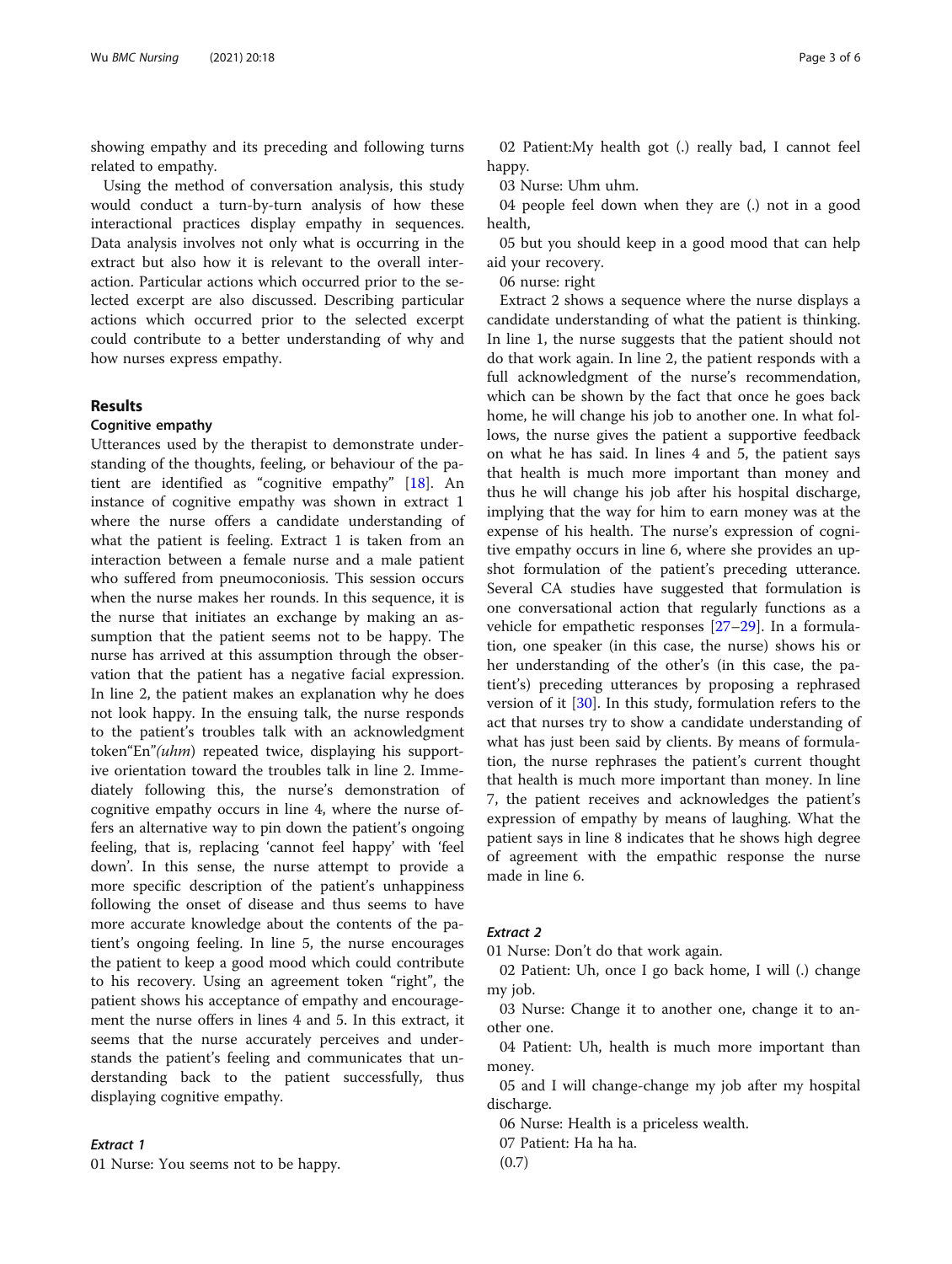showing empathy and its preceding and following turns related to empathy.

Using the method of conversation analysis, this study would conduct a turn-by-turn analysis of how these interactional practices display empathy in sequences. Data analysis involves not only what is occurring in the extract but also how it is relevant to the overall interaction. Particular actions which occurred prior to the selected excerpt are also discussed. Describing particular actions which occurred prior to the selected excerpt could contribute to a better understanding of why and how nurses express empathy.

# Results

# Cognitive empathy

Utterances used by the therapist to demonstrate understanding of the thoughts, feeling, or behaviour of the patient are identified as "cognitive empathy" [\[18](#page-5-0)]. An instance of cognitive empathy was shown in extract 1 where the nurse offers a candidate understanding of what the patient is feeling. Extract 1 is taken from an interaction between a female nurse and a male patient who suffered from pneumoconiosis. This session occurs when the nurse makes her rounds. In this sequence, it is the nurse that initiates an exchange by making an assumption that the patient seems not to be happy. The nurse has arrived at this assumption through the observation that the patient has a negative facial expression. In line 2, the patient makes an explanation why he does not look happy. In the ensuing talk, the nurse responds to the patient's troubles talk with an acknowledgment token"En"(uhm) repeated twice, displaying his supportive orientation toward the troubles talk in line 2. Immediately following this, the nurse's demonstration of cognitive empathy occurs in line 4, where the nurse offers an alternative way to pin down the patient's ongoing feeling, that is, replacing 'cannot feel happy' with 'feel down'. In this sense, the nurse attempt to provide a more specific description of the patient's unhappiness following the onset of disease and thus seems to have more accurate knowledge about the contents of the patient's ongoing feeling. In line 5, the nurse encourages the patient to keep a good mood which could contribute to his recovery. Using an agreement token "right", the patient shows his acceptance of empathy and encouragement the nurse offers in lines 4 and 5. In this extract, it seems that the nurse accurately perceives and understands the patient's feeling and communicates that understanding back to the patient successfully, thus displaying cognitive empathy.

01 Nurse: You seems not to be happy.

02 Patient:My health got (.) really bad, I cannot feel happy.

03 Nurse: Uhm uhm.

04 people feel down when they are (.) not in a good health,

05 but you should keep in a good mood that can help aid your recovery.

06 nurse: right

Extract 2 shows a sequence where the nurse displays a candidate understanding of what the patient is thinking. In line 1, the nurse suggests that the patient should not do that work again. In line 2, the patient responds with a full acknowledgment of the nurse's recommendation, which can be shown by the fact that once he goes back home, he will change his job to another one. In what follows, the nurse gives the patient a supportive feedback on what he has said. In lines 4 and 5, the patient says that health is much more important than money and thus he will change his job after his hospital discharge, implying that the way for him to earn money was at the expense of his health. The nurse's expression of cognitive empathy occurs in line 6, where she provides an upshot formulation of the patient's preceding utterance. Several CA studies have suggested that formulation is one conversational action that regularly functions as a vehicle for empathetic responses [[27](#page-5-0)–[29](#page-5-0)]. In a formulation, one speaker (in this case, the nurse) shows his or her understanding of the other's (in this case, the patient's) preceding utterances by proposing a rephrased version of it [[30\]](#page-5-0). In this study, formulation refers to the act that nurses try to show a candidate understanding of what has just been said by clients. By means of formulation, the nurse rephrases the patient's current thought that health is much more important than money. In line 7, the patient receives and acknowledges the patient's expression of empathy by means of laughing. What the patient says in line 8 indicates that he shows high degree of agreement with the empathic response the nurse made in line 6.

# **Extract 2**

Extract 2 01 Nurse: Don't do that work again.

02 Patient: Uh, once I go back home, I will (.) change my job.

03 Nurse: Change it to another one, change it to another one.

04 Patient: Uh, health is much more important than money.

05 and I will change-change my job after my hospital discharge.

06 Nurse: Health is a priceless wealth.

07 Patient: Ha ha ha.

(0.7)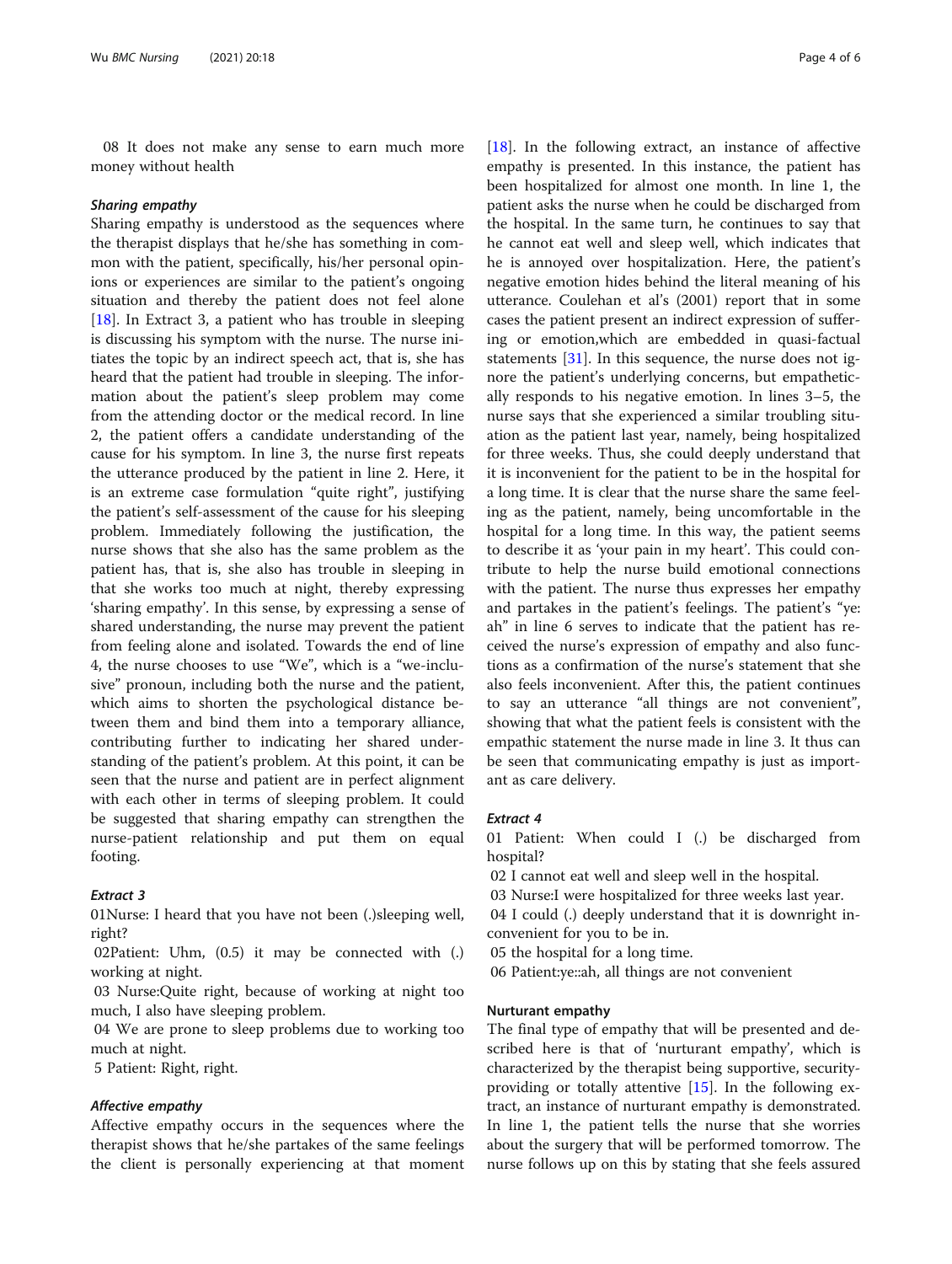08 It does not make any sense to earn much more money without health

Sharing empathy Sharing empathy is understood as the sequences where the therapist displays that he/she has something in common with the patient, specifically, his/her personal opinions or experiences are similar to the patient's ongoing situation and thereby the patient does not feel alone [[18\]](#page-5-0). In Extract 3, a patient who has trouble in sleeping is discussing his symptom with the nurse. The nurse initiates the topic by an indirect speech act, that is, she has heard that the patient had trouble in sleeping. The information about the patient's sleep problem may come from the attending doctor or the medical record. In line 2, the patient offers a candidate understanding of the cause for his symptom. In line 3, the nurse first repeats the utterance produced by the patient in line 2. Here, it is an extreme case formulation "quite right", justifying the patient's self-assessment of the cause for his sleeping problem. Immediately following the justification, the nurse shows that she also has the same problem as the patient has, that is, she also has trouble in sleeping in that she works too much at night, thereby expressing 'sharing empathy'. In this sense, by expressing a sense of shared understanding, the nurse may prevent the patient from feeling alone and isolated. Towards the end of line 4, the nurse chooses to use "We", which is a "we-inclusive" pronoun, including both the nurse and the patient, which aims to shorten the psychological distance between them and bind them into a temporary alliance, contributing further to indicating her shared understanding of the patient's problem. At this point, it can be seen that the nurse and patient are in perfect alignment with each other in terms of sleeping problem. It could be suggested that sharing empathy can strengthen the nurse-patient relationship and put them on equal footing.

01Nurse: I heard that you have not been (.)sleeping well, right?

02Patient: Uhm, (0.5) it may be connected with (.) working at night.

03 Nurse:Quite right, because of working at night too much, I also have sleeping problem.

04 We are prone to sleep problems due to working too much at night.

5 Patient: Right, right.

Affective empathy Affective empathy occurs in the sequences where the therapist shows that he/she partakes of the same feelings the client is personally experiencing at that moment [ $18$ ]. In the following extract, an instance of affective empathy is presented. In this instance, the patient has been hospitalized for almost one month. In line 1, the patient asks the nurse when he could be discharged from the hospital. In the same turn, he continues to say that he cannot eat well and sleep well, which indicates that he is annoyed over hospitalization. Here, the patient's negative emotion hides behind the literal meaning of his utterance. Coulehan et al's (2001) report that in some cases the patient present an indirect expression of suffering or emotion,which are embedded in quasi-factual statements [\[31\]](#page-5-0). In this sequence, the nurse does not ignore the patient's underlying concerns, but empathetically responds to his negative emotion. In lines 3–5, the nurse says that she experienced a similar troubling situation as the patient last year, namely, being hospitalized for three weeks. Thus, she could deeply understand that it is inconvenient for the patient to be in the hospital for a long time. It is clear that the nurse share the same feeling as the patient, namely, being uncomfortable in the hospital for a long time. In this way, the patient seems to describe it as 'your pain in my heart'. This could contribute to help the nurse build emotional connections with the patient. The nurse thus expresses her empathy and partakes in the patient's feelings. The patient's "ye: ah" in line 6 serves to indicate that the patient has received the nurse's expression of empathy and also functions as a confirmation of the nurse's statement that she also feels inconvenient. After this, the patient continues to say an utterance "all things are not convenient", showing that what the patient feels is consistent with the empathic statement the nurse made in line 3. It thus can be seen that communicating empathy is just as important as care delivery.

# **Extract 4**

01 Patient: When could I (.) be discharged from hospital?

- 02 I cannot eat well and sleep well in the hospital.
- 03 Nurse:I were hospitalized for three weeks last year.

04 I could (.) deeply understand that it is downright inconvenient for you to be in.

05 the hospital for a long time.

06 Patient:ye::ah, all things are not convenient

# Nurturant empathy

The final type of empathy that will be presented and described here is that of 'nurturant empathy', which is characterized by the therapist being supportive, securityproviding or totally attentive [[15\]](#page-5-0). In the following extract, an instance of nurturant empathy is demonstrated. In line 1, the patient tells the nurse that she worries about the surgery that will be performed tomorrow. The nurse follows up on this by stating that she feels assured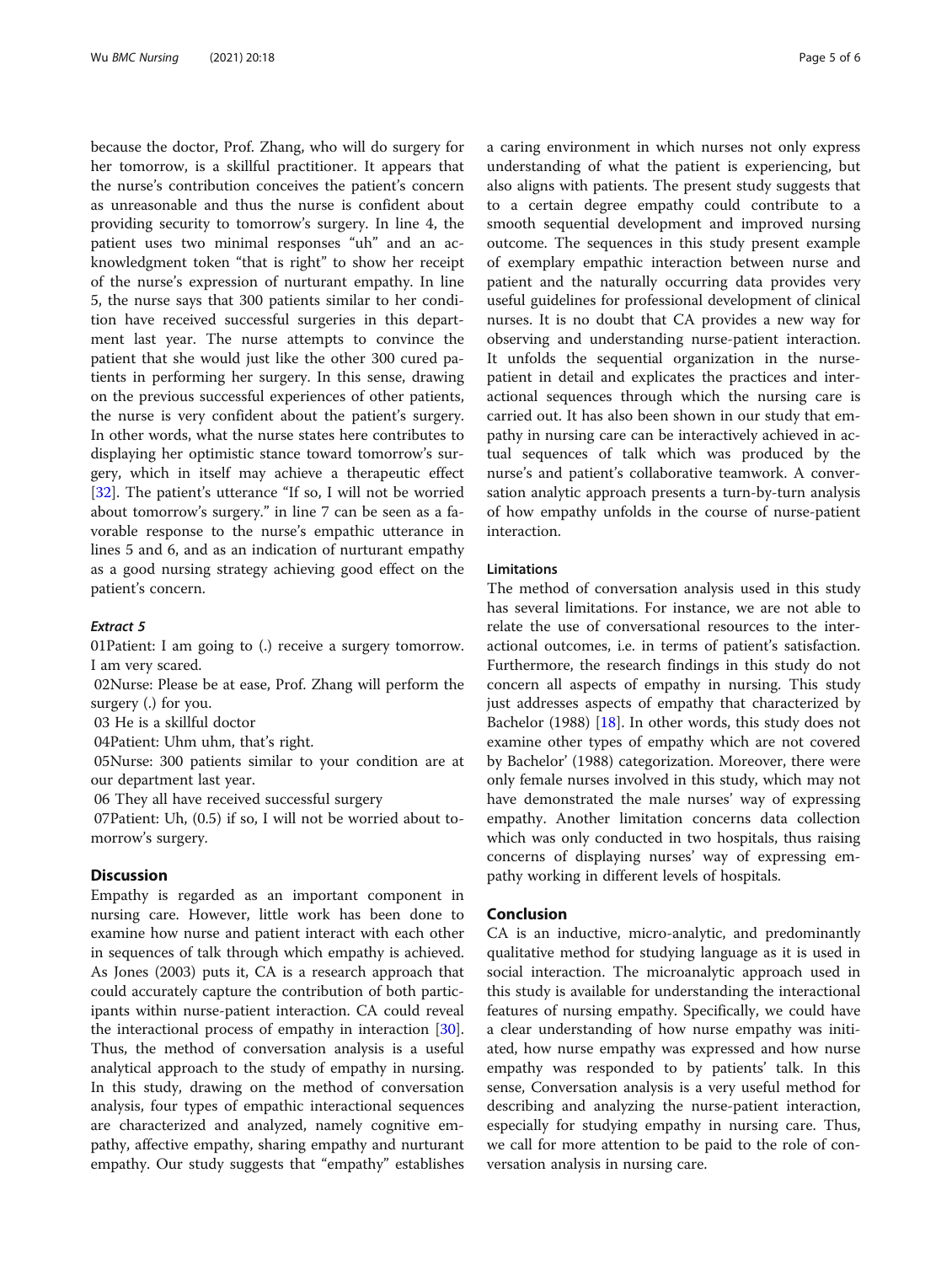because the doctor, Prof. Zhang, who will do surgery for her tomorrow, is a skillful practitioner. It appears that the nurse's contribution conceives the patient's concern as unreasonable and thus the nurse is confident about providing security to tomorrow's surgery. In line 4, the patient uses two minimal responses "uh" and an acknowledgment token "that is right" to show her receipt of the nurse's expression of nurturant empathy. In line 5, the nurse says that 300 patients similar to her condition have received successful surgeries in this department last year. The nurse attempts to convince the patient that she would just like the other 300 cured patients in performing her surgery. In this sense, drawing on the previous successful experiences of other patients, the nurse is very confident about the patient's surgery. In other words, what the nurse states here contributes to displaying her optimistic stance toward tomorrow's surgery, which in itself may achieve a therapeutic effect [[32\]](#page-5-0). The patient's utterance "If so, I will not be worried about tomorrow's surgery." in line 7 can be seen as a favorable response to the nurse's empathic utterance in lines 5 and 6, and as an indication of nurturant empathy as a good nursing strategy achieving good effect on the patient's concern.

01Patient: I am going to (.) receive a surgery tomorrow. I am very scared.

02Nurse: Please be at ease, Prof. Zhang will perform the surgery (.) for you.

03 He is a skillful doctor

04Patient: Uhm uhm, that's right.

05Nurse: 300 patients similar to your condition are at our department last year.

06 They all have received successful surgery

07Patient: Uh, (0.5) if so, I will not be worried about tomorrow's surgery.

# **Discussion**

Empathy is regarded as an important component in nursing care. However, little work has been done to examine how nurse and patient interact with each other in sequences of talk through which empathy is achieved. As Jones (2003) puts it, CA is a research approach that could accurately capture the contribution of both participants within nurse-patient interaction. CA could reveal the interactional process of empathy in interaction [\[30](#page-5-0)]. Thus, the method of conversation analysis is a useful analytical approach to the study of empathy in nursing. In this study, drawing on the method of conversation analysis, four types of empathic interactional sequences are characterized and analyzed, namely cognitive empathy, affective empathy, sharing empathy and nurturant empathy. Our study suggests that "empathy" establishes a caring environment in which nurses not only express understanding of what the patient is experiencing, but also aligns with patients. The present study suggests that to a certain degree empathy could contribute to a smooth sequential development and improved nursing outcome. The sequences in this study present example of exemplary empathic interaction between nurse and patient and the naturally occurring data provides very useful guidelines for professional development of clinical nurses. It is no doubt that CA provides a new way for observing and understanding nurse-patient interaction. It unfolds the sequential organization in the nursepatient in detail and explicates the practices and interactional sequences through which the nursing care is carried out. It has also been shown in our study that empathy in nursing care can be interactively achieved in actual sequences of talk which was produced by the nurse's and patient's collaborative teamwork. A conversation analytic approach presents a turn-by-turn analysis of how empathy unfolds in the course of nurse-patient interaction.

# Limitations

The method of conversation analysis used in this study has several limitations. For instance, we are not able to relate the use of conversational resources to the interactional outcomes, i.e. in terms of patient's satisfaction. Furthermore, the research findings in this study do not concern all aspects of empathy in nursing. This study just addresses aspects of empathy that characterized by Bachelor (1988) [[18\]](#page-5-0). In other words, this study does not examine other types of empathy which are not covered by Bachelor' (1988) categorization. Moreover, there were only female nurses involved in this study, which may not have demonstrated the male nurses' way of expressing empathy. Another limitation concerns data collection which was only conducted in two hospitals, thus raising concerns of displaying nurses' way of expressing empathy working in different levels of hospitals.

# Conclusion

CA is an inductive, micro-analytic, and predominantly qualitative method for studying language as it is used in social interaction. The microanalytic approach used in this study is available for understanding the interactional features of nursing empathy. Specifically, we could have a clear understanding of how nurse empathy was initiated, how nurse empathy was expressed and how nurse empathy was responded to by patients' talk. In this sense, Conversation analysis is a very useful method for describing and analyzing the nurse-patient interaction, especially for studying empathy in nursing care. Thus, we call for more attention to be paid to the role of conversation analysis in nursing care.